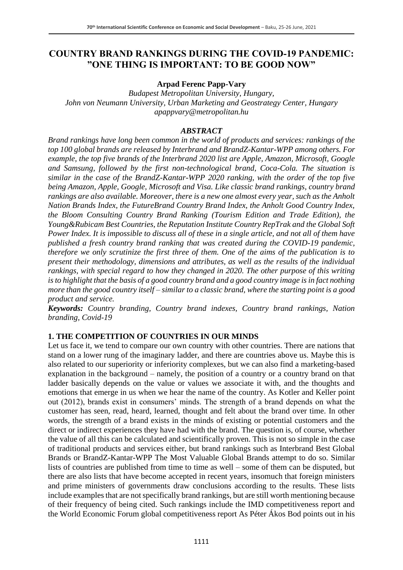### **COUNTRY BRAND RANKINGS DURING THE COVID-19 PANDEMIC: "ONE THING IS IMPORTANT: TO BE GOOD NOW"**

#### **Arpad Ferenc Papp-Vary**

*Budapest Metropolitan University, Hungary, John von Neumann University, Urban Marketing and Geostrategy Center, Hungary apappvary@metropolitan.hu*

#### *ABSTRACT*

*Brand rankings have long been common in the world of products and services: rankings of the top 100 global brands are released by Interbrand and BrandZ-Kantar-WPP among others. For example, the top five brands of the Interbrand 2020 list are Apple, Amazon, Microsoft, Google and Samsung, followed by the first non-technological brand, Coca-Cola. The situation is similar in the case of the BrandZ-Kantar-WPP 2020 ranking, with the order of the top five being Amazon, Apple, Google, Microsoft and Visa. Like classic brand rankings, country brand rankings are also available. Moreover, there is a new one almost every year, such as the Anholt Nation Brands Index, the FutureBrand Country Brand Index, the Anholt Good Country Index, the Bloom Consulting Country Brand Ranking (Tourism Edition and Trade Edition), the Young&Rubicam Best Countries, the Reputation Institute Country RepTrak and the Global Soft Power Index. It is impossible to discuss all of these in a single article, and not all of them have published a fresh country brand ranking that was created during the COVID-19 pandemic, therefore we only scrutinize the first three of them. One of the aims of the publication is to present their methodology, dimensions and attributes, as well as the results of the individual rankings, with special regard to how they changed in 2020. The other purpose of this writing is to highlight that the basis of a good country brand and a good country image is in fact nothing more than the good country itself – similar to a classic brand, where the starting point is a good product and service.*

*Keywords: Country branding, Country brand indexes, Country brand rankings, Nation branding, Covid-19*

#### **1. THE COMPETITION OF COUNTRIES IN OUR MINDS**

Let us face it, we tend to compare our own country with other countries. There are nations that stand on a lower rung of the imaginary ladder, and there are countries above us. Maybe this is also related to our superiority or inferiority complexes, but we can also find a marketing-based explanation in the background – namely, the position of a country or a country brand on that ladder basically depends on the value or values we associate it with, and the thoughts and emotions that emerge in us when we hear the name of the country. As Kotler and Keller point out (2012), brands exist in consumers' minds. The strength of a brand depends on what the customer has seen, read, heard, learned, thought and felt about the brand over time. In other words, the strength of a brand exists in the minds of existing or potential customers and the direct or indirect experiences they have had with the brand. The question is, of course, whether the value of all this can be calculated and scientifically proven. This is not so simple in the case of traditional products and services either, but brand rankings such as Interbrand Best Global Brands or BrandZ-Kantar-WPP The Most Valuable Global Brands attempt to do so. Similar lists of countries are published from time to time as well – some of them can be disputed, but there are also lists that have become accepted in recent years, insomuch that foreign ministers and prime ministers of governments draw conclusions according to the results. These lists include examples that are not specifically brand rankings, but are still worth mentioning because of their frequency of being cited. Such rankings include the IMD competitiveness report and the World Economic Forum global competitiveness report As Péter Ákos Bod points out in his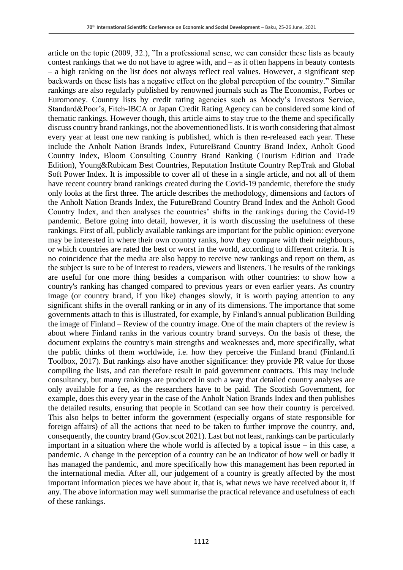article on the topic (2009, 32.), "In a professional sense, we can consider these lists as beauty contest rankings that we do not have to agree with, and – as it often happens in beauty contests – a high ranking on the list does not always reflect real values. However, a significant step backwards on these lists has a negative effect on the global perception of the country." Similar rankings are also regularly published by renowned journals such as The Economist, Forbes or Euromoney. Country lists by credit rating agencies such as Moody's Investors Service, Standard&Poor's, Fitch-IBCA or Japan Credit Rating Agency can be considered some kind of thematic rankings. However though, this article aims to stay true to the theme and specifically discuss country brand rankings, not the abovementioned lists. It is worth considering that almost every year at least one new ranking is published, which is then re-released each year. These include the Anholt Nation Brands Index, FutureBrand Country Brand Index, Anholt Good Country Index, Bloom Consulting Country Brand Ranking (Tourism Edition and Trade Edition), Young&Rubicam Best Countries, Reputation Institute Country RepTrak and Global Soft Power Index. It is impossible to cover all of these in a single article, and not all of them have recent country brand rankings created during the Covid-19 pandemic, therefore the study only looks at the first three. The article describes the methodology, dimensions and factors of the Anholt Nation Brands Index, the FutureBrand Country Brand Index and the Anholt Good Country Index, and then analyses the countries' shifts in the rankings during the Covid-19 pandemic. Before going into detail, however, it is worth discussing the usefulness of these rankings. First of all, publicly available rankings are important for the public opinion: everyone may be interested in where their own country ranks, how they compare with their neighbours, or which countries are rated the best or worst in the world, according to different criteria. It is no coincidence that the media are also happy to receive new rankings and report on them, as the subject is sure to be of interest to readers, viewers and listeners. The results of the rankings are useful for one more thing besides a comparison with other countries: to show how a country's ranking has changed compared to previous years or even earlier years. As country image (or country brand, if you like) changes slowly, it is worth paying attention to any significant shifts in the overall ranking or in any of its dimensions. The importance that some governments attach to this is illustrated, for example, by Finland's annual publication Building the image of Finland – Review of the country image. One of the main chapters of the review is about where Finland ranks in the various country brand surveys. On the basis of these, the document explains the country's main strengths and weaknesses and, more specifically, what the public thinks of them worldwide, i.e. how they perceive the Finland brand (Finland.fi Toolbox, 2017). But rankings also have another significance: they provide PR value for those compiling the lists, and can therefore result in paid government contracts. This may include consultancy, but many rankings are produced in such a way that detailed country analyses are only available for a fee, as the researchers have to be paid. The Scottish Government, for example, does this every year in the case of the Anholt Nation Brands Index and then publishes the detailed results, ensuring that people in Scotland can see how their country is perceived. This also helps to better inform the government (especially organs of state responsible for foreign affairs) of all the actions that need to be taken to further improve the country, and, consequently, the country brand (Gov.scot 2021). Last but not least, rankings can be particularly important in a situation where the whole world is affected by a topical issue – in this case, a pandemic. A change in the perception of a country can be an indicator of how well or badly it has managed the pandemic, and more specifically how this management has been reported in the international media. After all, our judgement of a country is greatly affected by the most important information pieces we have about it, that is, what news we have received about it, if any. The above information may well summarise the practical relevance and usefulness of each of these rankings.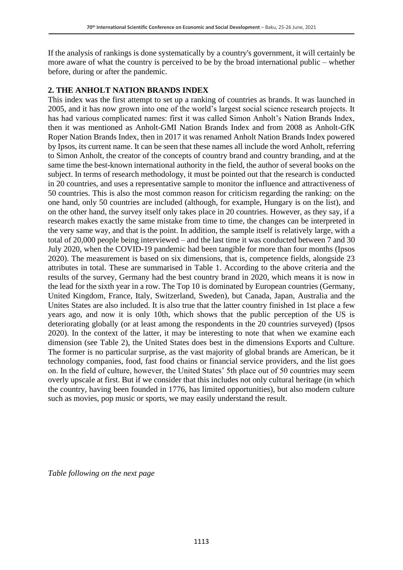If the analysis of rankings is done systematically by a country's government, it will certainly be more aware of what the country is perceived to be by the broad international public – whether before, during or after the pandemic.

#### **2. THE ANHOLT NATION BRANDS INDEX**

This index was the first attempt to set up a ranking of countries as brands. It was launched in 2005, and it has now grown into one of the world's largest social science research projects. It has had various complicated names: first it was called Simon Anholt's Nation Brands Index, then it was mentioned as Anholt-GMI Nation Brands Index and from 2008 as Anholt-GfK Roper Nation Brands Index, then in 2017 it was renamed Anholt Nation Brands Index powered by Ipsos, its current name. It can be seen that these names all include the word Anholt, referring to Simon Anholt, the creator of the concepts of country brand and country branding, and at the same time the best-known international authority in the field, the author of several books on the subject. In terms of research methodology, it must be pointed out that the research is conducted in 20 countries, and uses a representative sample to monitor the influence and attractiveness of 50 countries. This is also the most common reason for criticism regarding the ranking: on the one hand, only 50 countries are included (although, for example, Hungary is on the list), and on the other hand, the survey itself only takes place in 20 countries. However, as they say, if a research makes exactly the same mistake from time to time, the changes can be interpreted in the very same way, and that is the point. In addition, the sample itself is relatively large, with a total of 20,000 people being interviewed – and the last time it was conducted between 7 and 30 July 2020, when the COVID-19 pandemic had been tangible for more than four months (Ipsos 2020). The measurement is based on six dimensions, that is, competence fields, alongside 23 attributes in total. These are summarised in Table 1. According to the above criteria and the results of the survey, Germany had the best country brand in 2020, which means it is now in the lead for the sixth year in a row. The Top 10 is dominated by European countries (Germany, United Kingdom, France, Italy, Switzerland, Sweden), but Canada, Japan, Australia and the Unites States are also included. It is also true that the latter country finished in 1st place a few years ago, and now it is only 10th, which shows that the public perception of the US is deteriorating globally (or at least among the respondents in the 20 countries surveyed) (Ipsos 2020). In the context of the latter, it may be interesting to note that when we examine each dimension (see Table 2), the United States does best in the dimensions Exports and Culture. The former is no particular surprise, as the vast majority of global brands are American, be it technology companies, food, fast food chains or financial service providers, and the list goes on. In the field of culture, however, the United States' 5th place out of 50 countries may seem overly upscale at first. But if we consider that this includes not only cultural heritage (in which the country, having been founded in 1776, has limited opportunities), but also modern culture such as movies, pop music or sports, we may easily understand the result.

*Table following on the next page*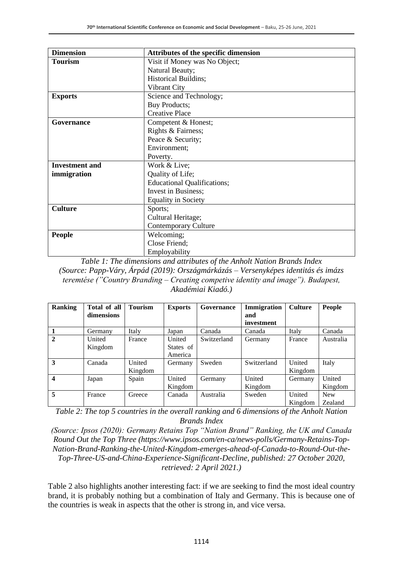| <b>Dimension</b>      | Attributes of the specific dimension |  |  |  |
|-----------------------|--------------------------------------|--|--|--|
| <b>Tourism</b>        | Visit if Money was No Object;        |  |  |  |
|                       | Natural Beauty;                      |  |  |  |
|                       | <b>Historical Buildins;</b>          |  |  |  |
|                       | Vibrant City                         |  |  |  |
| <b>Exports</b>        | Science and Technology;              |  |  |  |
|                       | <b>Buy Products;</b>                 |  |  |  |
|                       | <b>Creative Place</b>                |  |  |  |
| Governance            | Competent & Honest;                  |  |  |  |
|                       | Rights & Fairness;                   |  |  |  |
|                       | Peace & Security;                    |  |  |  |
|                       | Environment;                         |  |  |  |
|                       | Poverty.                             |  |  |  |
| <b>Investment</b> and | Work & Live;                         |  |  |  |
| immigration           | Quality of Life;                     |  |  |  |
|                       | <b>Educational Qualifications;</b>   |  |  |  |
|                       | Invest in Business;                  |  |  |  |
|                       | <b>Equality in Society</b>           |  |  |  |
| <b>Culture</b>        | Sports;                              |  |  |  |
|                       | Cultural Heritage;                   |  |  |  |
|                       | <b>Contemporary Culture</b>          |  |  |  |
| <b>People</b>         | Welcoming;                           |  |  |  |
|                       | Close Friend;                        |  |  |  |
|                       | Employability                        |  |  |  |

*Table 1: The dimensions and attributes of the Anholt Nation Brands Index (Source: Papp-Váry, Árpád (2019): Országmárkázás – Versenyképes identitás és imázs teremtése ("Country Branding – Creating competive identity and image"). Budapest, Akadémiai Kiadó.)*

| <b>Ranking</b>   | Total of all | <b>Tourism</b> | <b>Exports</b> | Governance  | Immigration | <b>Culture</b> | People     |
|------------------|--------------|----------------|----------------|-------------|-------------|----------------|------------|
|                  | dimensions   |                |                |             | and         |                |            |
|                  |              |                |                |             | investment  |                |            |
|                  | Germany      | Italy          | Japan          | Canada      | Canada      | Italy          | Canada     |
| 2                | United       | France         | United         | Switzerland | Germany     | France         | Australia  |
|                  | Kingdom      |                | States of      |             |             |                |            |
|                  |              |                | America        |             |             |                |            |
| 3                | Canada       | United         | Germany        | Sweden      | Switzerland | United         | Italy      |
|                  |              | Kingdom        |                |             |             | Kingdom        |            |
| $\boldsymbol{4}$ | Japan        | Spain          | United         | Germany     | United      | Germany        | United     |
|                  |              |                | Kingdom        |             | Kingdom     |                | Kingdom    |
| 5                | France       | Greece         | Canada         | Australia   | Sweden      | United         | <b>New</b> |
|                  |              |                |                |             |             | Kingdom        | Zealand    |

*Table 2: The top 5 countries in the overall ranking and 6 dimensions of the Anholt Nation Brands Index*

*(Source: Ipsos (2020): Germany Retains Top "Nation Brand" Ranking, the UK and Canada Round Out the Top Three (https://www.ipsos.com/en-ca/news-polls/Germany-Retains-Top-Nation-Brand-Ranking-the-United-Kingdom-emerges-ahead-of-Canada-to-Round-Out-the-Top-Three-US-and-China-Experience-Significant-Decline, published: 27 October 2020, retrieved: 2 April 2021.)*

Table 2 also highlights another interesting fact: if we are seeking to find the most ideal country brand, it is probably nothing but a combination of Italy and Germany. This is because one of the countries is weak in aspects that the other is strong in, and vice versa.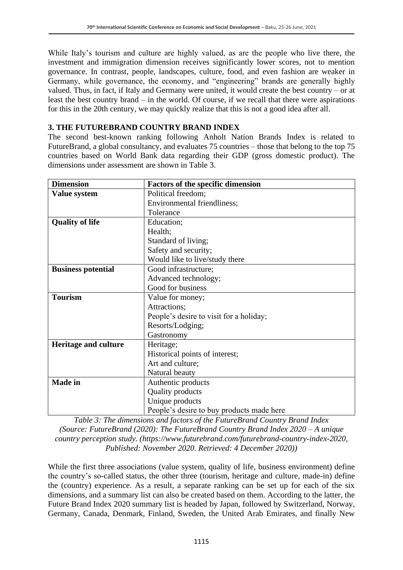While Italy's tourism and culture are highly valued, as are the people who live there, the investment and immigration dimension receives significantly lower scores, not to mention governance. In contrast, people, landscapes, culture, food, and even fashion are weaker in Germany, while governance, the economy, and "engineering" brands are generally highly valued. Thus, in fact, if Italy and Germany were united, it would create the best country – or at least the best country brand – in the world. Of course, if we recall that there were aspirations for this in the 20th century, we may quickly realize that this is not a good idea after all.

#### **3. THE FUTUREBRAND COUNTRY BRAND INDEX**

The second best-known ranking following Anholt Nation Brands Index is related to FutureBrand, a global consultancy, and evaluates 75 countries – those that belong to the top 75 countries based on World Bank data regarding their GDP (gross domestic product). The dimensions under assessment are shown in Table 3.

| <b>Dimension</b>            | <b>Factors of the specific dimension</b>  |  |  |  |  |  |
|-----------------------------|-------------------------------------------|--|--|--|--|--|
| Value system                | Political freedom;                        |  |  |  |  |  |
|                             | Environmental friendliness;               |  |  |  |  |  |
|                             | Tolerance                                 |  |  |  |  |  |
| <b>Quality of life</b>      | Education;                                |  |  |  |  |  |
|                             | Health;                                   |  |  |  |  |  |
|                             | Standard of living;                       |  |  |  |  |  |
|                             | Safety and security;                      |  |  |  |  |  |
|                             | Would like to live/study there            |  |  |  |  |  |
| <b>Business potential</b>   | Good infrastructure;                      |  |  |  |  |  |
|                             | Advanced technology;                      |  |  |  |  |  |
|                             | Good for business                         |  |  |  |  |  |
| <b>Tourism</b>              | Value for money;                          |  |  |  |  |  |
|                             | Attractions;                              |  |  |  |  |  |
|                             | People's desire to visit for a holiday;   |  |  |  |  |  |
|                             | Resorts/Lodging;                          |  |  |  |  |  |
|                             | Gastronomy                                |  |  |  |  |  |
| <b>Heritage and culture</b> | Heritage;                                 |  |  |  |  |  |
|                             | Historical points of interest;            |  |  |  |  |  |
|                             | Art and culture;                          |  |  |  |  |  |
|                             | Natural beauty                            |  |  |  |  |  |
| <b>Made</b> in              | Authentic products                        |  |  |  |  |  |
|                             | Quality products                          |  |  |  |  |  |
|                             | Unique products                           |  |  |  |  |  |
|                             | People's desire to buy products made here |  |  |  |  |  |

*Table 3: The dimensions and factors of the FutureBrand Country Brand Index (Source: FutureBrand (2020): The FutureBrand Country Brand Index 2020 – A unique country perception study. (https://www.futurebrand.com/futurebrand-country-index-2020, Published: November 2020. Retrieved: 4 December 2020))*

While the first three associations (value system, quality of life, business environment) define the country's so-called status, the other three (tourism, heritage and culture, made-in) define the (country) experience. As a result, a separate ranking can be set up for each of the six dimensions, and a summary list can also be created based on them. According to the latter, the Future Brand Index 2020 summary list is headed by Japan, followed by Switzerland, Norway, Germany, Canada, Denmark, Finland, Sweden, the United Arab Emirates, and finally New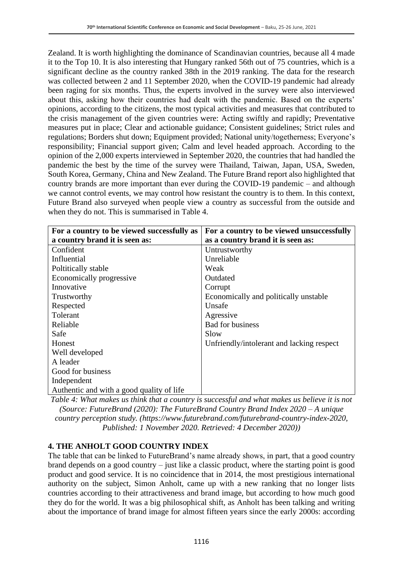Zealand. It is worth highlighting the dominance of Scandinavian countries, because all 4 made it to the Top 10. It is also interesting that Hungary ranked 56th out of 75 countries, which is a significant decline as the country ranked 38th in the 2019 ranking. The data for the research was collected between 2 and 11 September 2020, when the COVID-19 pandemic had already been raging for six months. Thus, the experts involved in the survey were also interviewed about this, asking how their countries had dealt with the pandemic. Based on the experts' opinions, according to the citizens, the most typical activities and measures that contributed to the crisis management of the given countries were: Acting swiftly and rapidly; Preventative measures put in place; Clear and actionable guidance; Consistent guidelines; Strict rules and regulations; Borders shut down; Equipment provided; National unity/togetherness; Everyone's responsibility; Financial support given; Calm and level headed approach. According to the opinion of the 2,000 experts interviewed in September 2020, the countries that had handled the pandemic the best by the time of the survey were Thailand, Taiwan, Japan, USA, Sweden, South Korea, Germany, China and New Zealand. The Future Brand report also highlighted that country brands are more important than ever during the COVID-19 pandemic – and although we cannot control events, we may control how resistant the country is to them. In this context, Future Brand also surveyed when people view a country as successful from the outside and when they do not. This is summarised in Table 4.

| For a country to be viewed successfully as | For a country to be viewed unsuccessfully |  |  |
|--------------------------------------------|-------------------------------------------|--|--|
| a country brand it is seen as:             | as a country brand it is seen as:         |  |  |
| Confident                                  | Untrustworthy                             |  |  |
| Influential                                | Unreliable                                |  |  |
| Poltitically stable                        | Weak                                      |  |  |
| Economically progressive                   | Outdated                                  |  |  |
| Innovative                                 | Corrupt                                   |  |  |
| Trustworthy                                | Economically and politically unstable     |  |  |
| Respected                                  | Unsafe                                    |  |  |
| Tolerant                                   | Agressive                                 |  |  |
| Reliable                                   | <b>Bad for business</b>                   |  |  |
| Safe                                       | Slow                                      |  |  |
| Honest                                     | Unfriendly/intolerant and lacking respect |  |  |
| Well developed                             |                                           |  |  |
| A leader                                   |                                           |  |  |
| Good for business                          |                                           |  |  |
| Independent                                |                                           |  |  |
| Authentic and with a good quality of life  |                                           |  |  |

*Table 4: What makes us think that a country is successful and what makes us believe it is not (Source: FutureBrand (2020): The FutureBrand Country Brand Index 2020 – A unique country perception study. (https://www.futurebrand.com/futurebrand-country-index-2020, Published: 1 November 2020. Retrieved: 4 December 2020))*

#### **4. THE ANHOLT GOOD COUNTRY INDEX**

The table that can be linked to FutureBrand's name already shows, in part, that a good country brand depends on a good country – just like a classic product, where the starting point is good product and good service. It is no coincidence that in 2014, the most prestigious international authority on the subject, Simon Anholt, came up with a new ranking that no longer lists countries according to their attractiveness and brand image, but according to how much good they do for the world. It was a big philosophical shift, as Anholt has been talking and writing about the importance of brand image for almost fifteen years since the early 2000s: according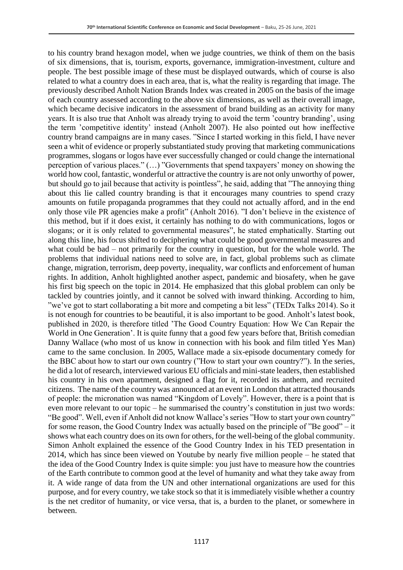to his country brand hexagon model, when we judge countries, we think of them on the basis of six dimensions, that is, tourism, exports, governance, immigration-investment, culture and people. The best possible image of these must be displayed outwards, which of course is also related to what a country does in each area, that is, what the reality is regarding that image. The previously described Anholt Nation Brands Index was created in 2005 on the basis of the image of each country assessed according to the above six dimensions, as well as their overall image, which became decisive indicators in the assessment of brand building as an activity for many years. It is also true that Anholt was already trying to avoid the term 'country branding', using the term 'competitive identity' instead (Anholt 2007). He also pointed out how ineffective country brand campaigns are in many cases. "Since I started working in this field, I have never seen a whit of evidence or properly substantiated study proving that marketing communications programmes, slogans or logos have ever successfully changed or could change the international perception of various places." (…) "Governments that spend taxpayers' money on showing the world how cool, fantastic, wonderful or attractive the country is are not only unworthy of power, but should go to jail because that activity is pointless", he said, adding that "The annoying thing about this lie called country branding is that it encourages many countries to spend crazy amounts on futile propaganda programmes that they could not actually afford, and in the end only those vile PR agencies make a profit" (Anholt 2016). "I don't believe in the existence of this method, but if it does exist, it certainly has nothing to do with communications, logos or slogans; or it is only related to governmental measures", he stated emphatically. Starting out along this line, his focus shifted to deciphering what could be good governmental measures and what could be bad – not primarily for the country in question, but for the whole world. The problems that individual nations need to solve are, in fact, global problems such as climate change, migration, terrorism, deep poverty, inequality, war conflicts and enforcement of human rights. In addition, Anholt highlighted another aspect, pandemic and biosafety, when he gave his first big speech on the topic in 2014. He emphasized that this global problem can only be tackled by countries jointly, and it cannot be solved with inward thinking. According to him, "we've got to start collaborating a bit more and competing a bit less" (TEDx Talks 2014). So it is not enough for countries to be beautiful, it is also important to be good. Anholt's latest book, published in 2020, is therefore titled 'The Good Country Equation: How We Can Repair the World in One Generation'. It is quite funny that a good few years before that, British comedian Danny Wallace (who most of us know in connection with his book and film titled Yes Man) came to the same conclusion. In 2005, Wallace made a six-episode documentary comedy for the BBC about how to start our own country ("How to start your own country?"). In the series, he did a lot of research, interviewed various EU officials and mini-state leaders, then established his country in his own apartment, designed a flag for it, recorded its anthem, and recruited citizens. The name of the country was announced at an event in London that attracted thousands of people: the micronation was named "Kingdom of Lovely". However, there is a point that is even more relevant to our topic – he summarised the country's constitution in just two words: "Be good". Well, even if Anholt did not know Wallace's series "How to start your own country" for some reason, the Good Country Index was actually based on the principle of "Be good" – it shows what each country does on its own for others, for the well-being of the global community. Simon Anholt explained the essence of the Good Country Index in his TED presentation in 2014, which has since been viewed on Youtube by nearly five million people – he stated that the idea of the Good Country Index is quite simple: you just have to measure how the countries of the Earth contribute to common good at the level of humanity and what they take away from it. A wide range of data from the UN and other international organizations are used for this purpose, and for every country, we take stock so that it is immediately visible whether a country is the net creditor of humanity, or vice versa, that is, a burden to the planet, or somewhere in between.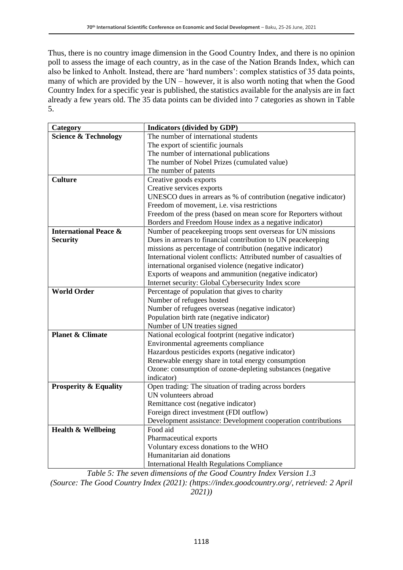Thus, there is no country image dimension in the Good Country Index, and there is no opinion poll to assess the image of each country, as in the case of the Nation Brands Index, which can also be linked to Anholt. Instead, there are 'hard numbers': complex statistics of 35 data points, many of which are provided by the UN – however, it is also worth noting that when the Good Country Index for a specific year is published, the statistics available for the analysis are in fact already a few years old. The 35 data points can be divided into 7 categories as shown in Table 5.

| Category                         | <b>Indicators (divided by GDP)</b>                                  |
|----------------------------------|---------------------------------------------------------------------|
| <b>Science &amp; Technology</b>  | The number of international students                                |
|                                  | The export of scientific journals                                   |
|                                  | The number of international publications                            |
|                                  | The number of Nobel Prizes (cumulated value)                        |
|                                  | The number of patents                                               |
| <b>Culture</b>                   | Creative goods exports                                              |
|                                  | Creative services exports                                           |
|                                  | UNESCO dues in arrears as % of contribution (negative indicator)    |
|                                  | Freedom of movement, <i>i.e.</i> visa restrictions                  |
|                                  | Freedom of the press (based on mean score for Reporters without     |
|                                  | Borders and Freedom House index as a negative indicator)            |
| <b>International Peace &amp;</b> | Number of peacekeeping troops sent overseas for UN missions         |
| <b>Security</b>                  | Dues in arrears to financial contribution to UN peacekeeping        |
|                                  | missions as percentage of contribution (negative indicator)         |
|                                  | International violent conflicts: Attributed number of casualties of |
|                                  | international organised violence (negative indicator)               |
|                                  | Exports of weapons and ammunition (negative indicator)              |
|                                  | Internet security: Global Cybersecurity Index score                 |
| <b>World Order</b>               | Percentage of population that gives to charity                      |
|                                  | Number of refugees hosted                                           |
|                                  | Number of refugees overseas (negative indicator)                    |
|                                  | Population birth rate (negative indicator)                          |
|                                  | Number of UN treaties signed                                        |
| <b>Planet &amp; Climate</b>      | National ecological footprint (negative indicator)                  |
|                                  | Environmental agreements compliance                                 |
|                                  | Hazardous pesticides exports (negative indicator)                   |
|                                  | Renewable energy share in total energy consumption                  |
|                                  | Ozone: consumption of ozone-depleting substances (negative          |
|                                  | indicator)                                                          |
| <b>Prosperity &amp; Equality</b> | Open trading: The situation of trading across borders               |
|                                  | UN volunteers abroad                                                |
|                                  | Remittance cost (negative indicator)                                |
|                                  | Foreign direct investment (FDI outflow)                             |
|                                  | Development assistance: Development cooperation contributions       |
| <b>Health &amp; Wellbeing</b>    | Food aid                                                            |
|                                  | Pharmaceutical exports                                              |
|                                  | Voluntary excess donations to the WHO                               |
|                                  | Humanitarian aid donations                                          |
|                                  | <b>International Health Regulations Compliance</b>                  |

*Table 5: The seven dimensions of the Good Country Index Version 1.3*

*(Source: The Good Country Index (2021): (https://index.goodcountry.org/, retrieved: 2 April 2021))*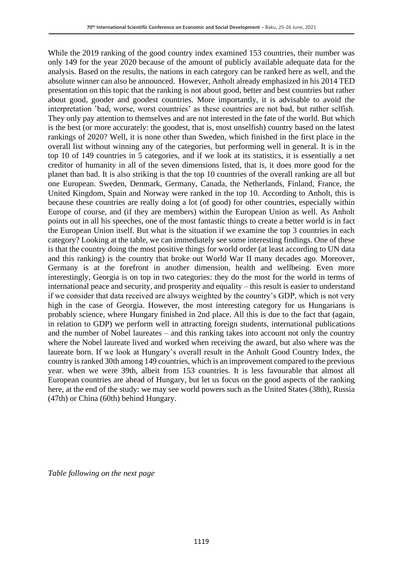While the 2019 ranking of the good country index examined 153 countries, their number was only 149 for the year 2020 because of the amount of publicly available adequate data for the analysis. Based on the results, the nations in each category can be ranked here as well, and the absolute winner can also be announced. However, Anholt already emphasized in his 2014 TED presentation on this topic that the ranking is not about good, better and best countries but rather about good, gooder and goodest countries. More importantly, it is advisable to avoid the interpretation 'bad, worse, worst countries' as these countries are not bad, but rather selfish. They only pay attention to themselves and are not interested in the fate of the world. But which is the best (or more accurately: the goodest, that is, most unselfish) country based on the latest rankings of 2020? Well, it is none other than Sweden, which finished in the first place in the overall list without winning any of the categories, but performing well in general. It is in the top 10 of 149 countries in 5 categories, and if we look at its statistics, it is essentially a net creditor of humanity in all of the seven dimensions listed, that is, it does more good for the planet than bad. It is also striking is that the top 10 countries of the overall ranking are all but one European. Sweden, Denmark, Germany, Canada, the Netherlands, Finland, France, the United Kingdom, Spain and Norway were ranked in the top 10. According to Anholt, this is because these countries are really doing a lot (of good) for other countries, especially within Europe of course, and (if they are members) within the European Union as well. As Anholt points out in all his speeches, one of the most fantastic things to create a better world is in fact the European Union itself. But what is the situation if we examine the top 3 countries in each category? Looking at the table, we can immediately see some interesting findings. One of these is that the country doing the most positive things for world order (at least according to UN data and this ranking) is the country that broke out World War II many decades ago. Moreover, Germany is at the forefront in another dimension, health and wellbeing. Even more interestingly, Georgia is on top in two categories: they do the most for the world in terms of international peace and security, and prosperity and equality – this result is easier to understand if we consider that data received are always weighted by the country's GDP, which is not very high in the case of Georgia. However, the most interesting category for us Hungarians is probably science, where Hungary finished in 2nd place. All this is due to the fact that (again, in relation to GDP) we perform well in attracting foreign students, international publications and the number of Nobel laureates – and this ranking takes into account not only the country where the Nobel laureate lived and worked when receiving the award, but also where was the laureate born. If we look at Hungary's overall result in the Anholt Good Country Index, the country is ranked 30th among 149 countries, which is an improvement compared to the previous year. when we were 39th, albeit from 153 countries. It is less favourable that almost all European countries are ahead of Hungary, but let us focus on the good aspects of the ranking here, at the end of the study: we may see world powers such as the United States (38th), Russia (47th) or China (60th) behind Hungary.

*Table following on the next page*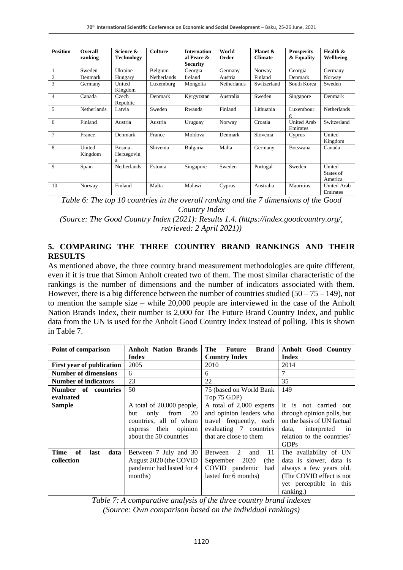| <b>Position</b> | Overall<br>ranking | Science &<br><b>Technology</b> | <b>Culture</b>     | <b>Internation</b><br>al Peace &<br><b>Security</b> | World<br>Order | Planet &<br><b>Climate</b> | <b>Prosperity</b><br>& Equality | Health &<br>Wellbeing          |
|-----------------|--------------------|--------------------------------|--------------------|-----------------------------------------------------|----------------|----------------------------|---------------------------------|--------------------------------|
|                 | Sweden             | Ukraine                        | Belgium            | Georgia                                             | Germany        | Norway                     | Georgia                         | Germany                        |
| $\overline{2}$  | Denmark            | Hungary                        | <b>Netherlands</b> | Ireland                                             | Austria        | Finland                    | Denmark                         | Norway                         |
| 3               | Germany            | United<br>Kingdom              | Luxemburg          | Mongolia                                            | Netherlands    | Switzerland                | South Korea                     | Sweden                         |
| $\overline{4}$  | Canada             | Czech<br>Republic              | Denmark            | Kyrgyzstan                                          | Australia      | Sweden                     | Singapore                       | Denmark                        |
| 5               | <b>Netherlands</b> | Latvia                         | Sweden             | Rwanda                                              | Finland        | Lithuania                  | Luxembour<br>g                  | <b>Netherlands</b>             |
| 6               | Finland            | Austria                        | Austria            | Uruguay                                             | Norway         | Croatia                    | <b>United Arab</b><br>Emirates  | Switzerland                    |
| $\overline{7}$  | France             | Denmark                        | France             | Moldova                                             | Denmark        | Slovenia                   | Cyprus                          | United<br>Kingdom              |
| 8               | United<br>Kingdom  | Bosnia-<br>Herzegovin<br>a     | Slovenia           | Bulgaria                                            | Malta          | Germany                    | Botswana                        | Canada                         |
| 9               | Spain              | Netherlands                    | Estonia            | Singapore                                           | Sweden         | Portugal                   | Sweden                          | United<br>States of<br>America |
| 10              | Norway             | Finland                        | Malta              | Malawi                                              | Cyprus         | Australia                  | Mauritius                       | United Arab<br>Emirates        |

*Table 6: The top 10 countries in the overall ranking and the 7 dimensions of the Good Country Index*

*(Source: The Good Country Index (2021): Results 1.4. (https://index.goodcountry.org/, retrieved: 2 April 2021))*

#### **5. COMPARING THE THREE COUNTRY BRAND RANKINGS AND THEIR RESULTS**

As mentioned above, the three country brand measurement methodologies are quite different, even if it is true that Simon Anholt created two of them. The most similar characteristic of the rankings is the number of dimensions and the number of indicators associated with them. However, there is a big difference between the number of countries studied  $(50 - 75 - 149)$ , not to mention the sample size – while 20,000 people are interviewed in the case of the Anholt Nation Brands Index, their number is 2,000 for The Future Brand Country Index, and public data from the UN is used for the Anholt Good Country Index instead of polling. This is shown in Table 7.

| Point of comparison              | <b>Anholt Nation Brands</b> | <b>Brand</b><br>The<br><b>Future</b> | <b>Anholt Good Country</b> |
|----------------------------------|-----------------------------|--------------------------------------|----------------------------|
|                                  | <b>Index</b>                | <b>Country Index</b>                 | <b>Index</b>               |
| <b>First year of publication</b> | 2005                        | 2010                                 | 2014                       |
| <b>Number of dimensions</b>      | 6                           | 6                                    | 7                          |
| <b>Number of indicators</b>      | 23                          | 22                                   | 35                         |
| Number of countries              | 50                          | 75 (based on World Bank              | 149                        |
| evaluated                        |                             | Top 75 GDP)                          |                            |
| <b>Sample</b>                    | A total of 20,000 people,   | A total of 2,000 experts             | It is not carried<br>out   |
|                                  | only<br>from<br>20<br>but   | and opinion leaders who              | through opinion polls, but |
|                                  | countries, all of whom      | travel frequently, each              | on the basis of UN factual |
|                                  | express their opinion       | evaluating 7 countries               | data, interpreted<br>in    |
|                                  | about the 50 countries      | that are close to them               | relation to the countries' |
|                                  |                             |                                      | <b>GDPs</b>                |
| Time<br>of<br>last<br>data       | Between 7 July and 30       | 2<br>11<br>Between<br>and            | The availability of UN     |
| collection                       | August 2020 (the COVID      | 2020<br>September<br>(the            | data is slower, data is    |
|                                  | pandemic had lasted for 4   | COVID pandemic<br>had                | always a few years old.    |
|                                  | months)                     | lasted for 6 months)                 | (The COVID effect is not   |
|                                  |                             |                                      | yet perceptible in this    |
|                                  |                             |                                      | ranking.)                  |

*Table 7: A comparative analysis of the three country brand indexes (Source: Own comparison based on the individual rankings)*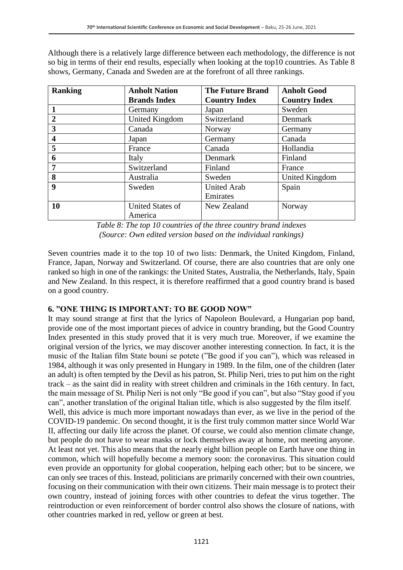Although there is a relatively large difference between each methodology, the difference is not so big in terms of their end results, especially when looking at the top10 countries. As Table 8 shows, Germany, Canada and Sweden are at the forefront of all three rankings.

| <b>Ranking</b>   | <b>Anholt Nation</b> | <b>The Future Brand</b> | <b>Anholt Good</b>   |
|------------------|----------------------|-------------------------|----------------------|
|                  | <b>Brands Index</b>  | <b>Country Index</b>    | <b>Country Index</b> |
| 1                | Germany              | Japan                   | Sweden               |
| $\overline{2}$   | United Kingdom       | Switzerland             | Denmark              |
| 3                | Canada               | Norway                  | Germany              |
| 4                | Japan                | Germany                 | Canada               |
| 5                | France               | Canada                  | Hollandia            |
| 6                | Italy                | Denmark                 | Finland              |
| 7                | Switzerland          | Finland                 | France               |
| 8                | Australia            | Sweden                  | United Kingdom       |
| $\boldsymbol{9}$ | Sweden               | <b>United Arab</b>      | Spain                |
|                  |                      | Emirates                |                      |
| 10               | United States of     | New Zealand             | Norway               |
|                  | America              |                         |                      |

*Table 8: The top 10 countries of the three country brand indexes (Source: Own edited version based on the individual rankings)*

Seven countries made it to the top 10 of two lists: Denmark, the United Kingdom, Finland, France, Japan, Norway and Switzerland. Of course, there are also countries that are only one ranked so high in one of the rankings: the United States, Australia, the Netherlands, Italy, Spain and New Zealand. In this respect, it is therefore reaffirmed that a good country brand is based on a good country.

### **6. "ONE THING IS IMPORTANT: TO BE GOOD NOW"**

It may sound strange at first that the lyrics of Napoleon Boulevard, a Hungarian pop band, provide one of the most important pieces of advice in country branding, but the Good Country Index presented in this study proved that it is very much true. Moreover, if we examine the original version of the lyrics, we may discover another interesting connection. In fact, it is the music of the Italian film State bouni se potete ("Be good if you can"), which was released in 1984, although it was only presented in Hungary in 1989. In the film, one of the children (later an adult) is often tempted by the Devil as his patron, St. Philip Neri, tries to put him on the right track – as the saint did in reality with street children and criminals in the 16th century. In fact, the main message of St. Philip Neri is not only "Be good if you can", but also "Stay good if you can", another translation of the original Italian title, which is also suggested by the film itself. Well, this advice is much more important nowadays than ever, as we live in the period of the COVID-19 pandemic. On second thought, it is the first truly common matter since World War II, affecting our daily life across the planet. Of course, we could also mention climate change, but people do not have to wear masks or lock themselves away at home, not meeting anyone. At least not yet. This also means that the nearly eight billion people on Earth have one thing in common, which will hopefully become a memory soon: the coronavirus. This situation could even provide an opportunity for global cooperation, helping each other; but to be sincere, we can only see traces of this. Instead, politicians are primarily concerned with their own countries, focusing on their communication with their own citizens. Their main message is to protect their own country, instead of joining forces with other countries to defeat the virus together. The reintroduction or even reinforcement of border control also shows the closure of nations, with other countries marked in red, yellow or green at best.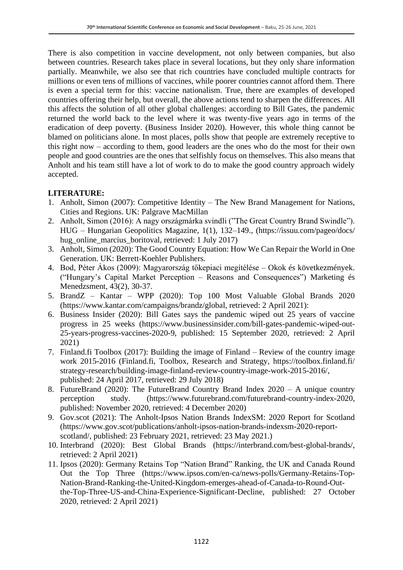There is also competition in vaccine development, not only between companies, but also between countries. Research takes place in several locations, but they only share information partially. Meanwhile, we also see that rich countries have concluded multiple contracts for millions or even tens of millions of vaccines, while poorer countries cannot afford them. There is even a special term for this: vaccine nationalism. True, there are examples of developed countries offering their help, but overall, the above actions tend to sharpen the differences. All this affects the solution of all other global challenges: according to Bill Gates, the pandemic returned the world back to the level where it was twenty-five years ago in terms of the eradication of deep poverty. (Business Insider 2020). However, this whole thing cannot be blamed on politicians alone. In most places, polls show that people are extremely receptive to this right now – according to them, good leaders are the ones who do the most for their own people and good countries are the ones that selfishly focus on themselves. This also means that Anholt and his team still have a lot of work to do to make the good country approach widely accepted.

#### **LITERATURE:**

- 1. Anholt, Simon (2007): Competitive Identity The New Brand Management for Nations, Cities and Regions. UK: Palgrave MacMillan
- 2. Anholt, Simon (2016): A nagy országmárka svindli ("The Great Country Brand Swindle"). HUG – Hungarian Geopolitics Magazine, 1(1), 132–149., (https://issuu.com/pageo/docs/ hug\_online\_marcius\_boritoval, retrieved: 1 July 2017)
- 3. Anholt, Simon (2020): The Good Country Equation: How We Can Repair the World in One Generation. UK: Berrett-Koehler Publishers.
- 4. Bod, Péter Ákos (2009): Magyarország tőkepiaci megítélése Okok és következmények. ("Hungary's Capital Market Perception – Reasons and Consequences") Marketing és Menedzsment, 43(2), 30-37.
- 5. BrandZ Kantar WPP (2020): Top 100 Most Valuable Global Brands 2020 (https://www.kantar.com/campaigns/brandz/global, retrieved: 2 April 2021):
- 6. Business Insider (2020): Bill Gates says the pandemic wiped out 25 years of vaccine progress in 25 weeks (https://www.businessinsider.com/bill-gates-pandemic-wiped-out-25-years-progress-vaccines-2020-9, published: 15 September 2020, retrieved: 2 April 2021)
- 7. Finland.fi Toolbox (2017): Building the image of Finland Review of the country image work 2015-2016 (Finland.fi, Toolbox, Research and Strategy, https://toolbox.finland.fi/ strategy-research/building-image-finland-review-country-image-work-2015-2016/, published: 24 April 2017, retrieved: 29 July 2018)
- 8. FutureBrand (2020): The FutureBrand Country Brand Index 2020 A unique country perception study. (https://www.futurebrand.com/futurebrand-country-index-2020, published: November 2020, retrieved: 4 December 2020)
- 9. Gov.scot (2021): The Anholt-Ipsos Nation Brands IndexSM: 2020 Report for Scotland (https://www.gov.scot/publications/anholt-ipsos-nation-brands-indexsm-2020-reportscotland/, published: 23 February 2021, retrieved: 23 May 2021.)
- 10. Interbrand (2020): Best Global Brands (https://interbrand.com/best-global-brands/, retrieved: 2 April 2021)
- 11. Ipsos (2020): Germany Retains Top "Nation Brand" Ranking, the UK and Canada Round Out the Top Three (https://www.ipsos.com/en-ca/news-polls/Germany-Retains-Top-Nation-Brand-Ranking-the-United-Kingdom-emerges-ahead-of-Canada-to-Round-Outthe-Top-Three-US-and-China-Experience-Significant-Decline, published: 27 October 2020, retrieved: 2 April 2021)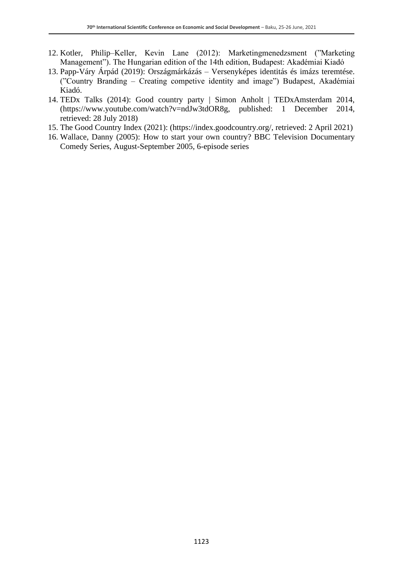- 12. Kotler, Philip–Keller, Kevin Lane (2012): Marketingmenedzsment ("Marketing Management"). The Hungarian edition of the 14th edition, Budapest: Akadémiai Kiadó
- 13. Papp-Váry Árpád (2019): Országmárkázás Versenyképes identitás és imázs teremtése. ("Country Branding – Creating competive identity and image") Budapest, Akadémiai Kiadó.
- 14. TEDx Talks (2014): Good country party | Simon Anholt | TEDxAmsterdam 2014, (https://www.youtube.com/watch?v=ndJw3tdOR8g, published: 1 December 2014, retrieved: 28 July 2018)
- 15. The Good Country Index (2021): (https://index.goodcountry.org/, retrieved: 2 April 2021)
- 16. Wallace, Danny (2005): How to start your own country? BBC Television Documentary Comedy Series, August-September 2005, 6-episode series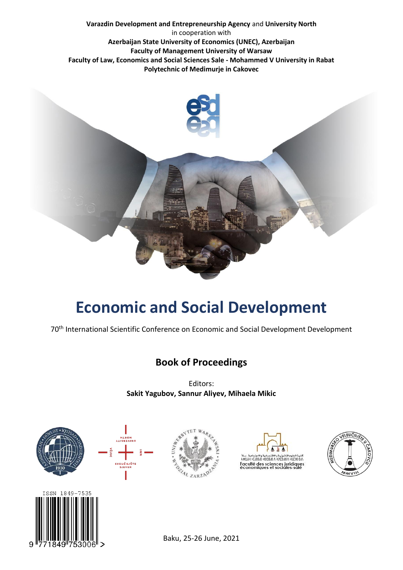**Varazdin Development and Entrepreneurship Agency** and **University North** in cooperation with **Azerbaijan State University of Economics (UNEC), Azerbaijan Faculty of Management University of Warsaw Faculty of Law, Economics and Social Sciences Sale - Mohammed V University in Rabat Polytechnic of Medimurje in Cakovec**



# **Economic and Social Development**

70<sup>th</sup> International Scientific Conference on Economic and Social Development Development

### **Book of Proceedings**

Editors: **Sakit Yagubov, Sannur Aliyev, Mihaela Mikic**



9



Baku, 25-26 June, 2021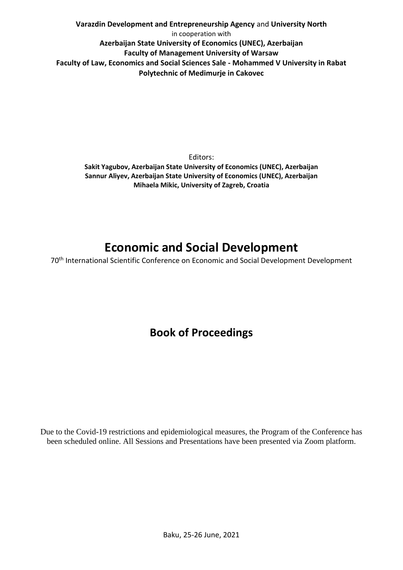**Varazdin Development and Entrepreneurship Agency** and **University North** in cooperation with **Azerbaijan State University of Economics (UNEC), Azerbaijan Faculty of Management University of Warsaw Faculty of Law, Economics and Social Sciences Sale - Mohammed V University in Rabat Polytechnic of Medimurje in Cakovec**

Editors: **Sakit Yagubov, Azerbaijan State University of Economics (UNEC), Azerbaijan Sannur Aliyev, Azerbaijan State University of Economics (UNEC), Azerbaijan Mihaela Mikic, University of Zagreb, Croatia**

## **Economic and Social Development**

70<sup>th</sup> International Scientific Conference on Economic and Social Development Development

## **Book of Proceedings**

Due to the Covid-19 restrictions and epidemiological measures, the Program of the Conference has been scheduled online. All Sessions and Presentations have been presented via Zoom platform.